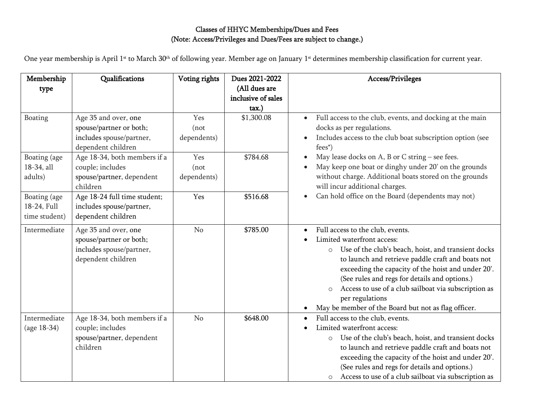## Classes of HHYC Memberships/Dues and Fees (Note: Access/Privileges and Dues/Fees are subject to change.)

One year membership is April 1st to March 30th of following year. Member age on January 1st determines membership classification for current year.

| Membership<br>type                           | Qualifications                                                                                    | Voting rights               | Dues 2021-2022<br>(All dues are<br>inclusive of sales<br>tax.) | Access/Privileges                                                                                                                                                                                                                                                                                                                                                                                                                                      |
|----------------------------------------------|---------------------------------------------------------------------------------------------------|-----------------------------|----------------------------------------------------------------|--------------------------------------------------------------------------------------------------------------------------------------------------------------------------------------------------------------------------------------------------------------------------------------------------------------------------------------------------------------------------------------------------------------------------------------------------------|
| Boating                                      | Age 35 and over, one<br>spouse/partner or both;<br>includes spouse/partner,<br>dependent children | Yes<br>(not)<br>dependents) | \$1,300.08                                                     | Full access to the club, events, and docking at the main<br>$\bullet$<br>docks as per regulations.<br>Includes access to the club boat subscription option (see<br>$fees^*$                                                                                                                                                                                                                                                                            |
| Boating (age<br>18-34, all<br>adults)        | Age 18-34, both members if a<br>couple; includes<br>spouse/partner, dependent<br>children         | Yes<br>(not)<br>dependents) | \$784.68                                                       | May lease docks on A, B or C string - see fees.<br>May keep one boat or dinghy under 20' on the grounds<br>without charge. Additional boats stored on the grounds<br>will incur additional charges.                                                                                                                                                                                                                                                    |
| Boating (age<br>18-24, Full<br>time student) | Age 18-24 full time student;<br>includes spouse/partner,<br>dependent children                    | Yes                         | \$516.68                                                       | Can hold office on the Board (dependents may not)<br>$\bullet$                                                                                                                                                                                                                                                                                                                                                                                         |
| Intermediate                                 | Age 35 and over, one<br>spouse/partner or both;<br>includes spouse/partner,<br>dependent children | No                          | \$785.00                                                       | Full access to the club, events.<br>$\bullet$<br>Limited waterfront access:<br>Use of the club's beach, hoist, and transient docks<br>$\circ$<br>to launch and retrieve paddle craft and boats not<br>exceeding the capacity of the hoist and under 20'.<br>(See rules and regs for details and options.)<br>Access to use of a club sailboat via subscription as<br>$\circ$<br>per regulations<br>May be member of the Board but not as flag officer. |
| Intermediate<br>(age 18-34)                  | Age 18-34, both members if a<br>couple; includes<br>spouse/partner, dependent<br>children         | N <sub>o</sub>              | \$648.00                                                       | Full access to the club, events.<br>$\bullet$<br>Limited waterfront access:<br>Use of the club's beach, hoist, and transient docks<br>$\circ$<br>to launch and retrieve paddle craft and boats not<br>exceeding the capacity of the hoist and under 20'.<br>(See rules and regs for details and options.)<br>Access to use of a club sailboat via subscription as<br>$\circ$                                                                           |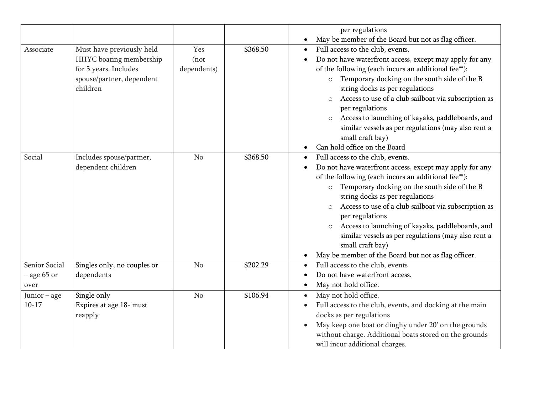|                                        |                                                                                                                        |                             |          | per regulations                                                                                                                                                                                                                                                                                                                                                                                                                                                                                                                                                     |
|----------------------------------------|------------------------------------------------------------------------------------------------------------------------|-----------------------------|----------|---------------------------------------------------------------------------------------------------------------------------------------------------------------------------------------------------------------------------------------------------------------------------------------------------------------------------------------------------------------------------------------------------------------------------------------------------------------------------------------------------------------------------------------------------------------------|
|                                        |                                                                                                                        |                             |          | May be member of the Board but not as flag officer.<br>$\bullet$                                                                                                                                                                                                                                                                                                                                                                                                                                                                                                    |
| Associate                              | Must have previously held<br>HHYC boating membership<br>for 5 years. Includes<br>spouse/partner, dependent<br>children | Yes<br>(not)<br>dependents) | \$368.50 | Full access to the club, events.<br>$\bullet$<br>Do not have waterfront access, except may apply for any<br>$\bullet$<br>of the following (each incurs an additional fee**):<br>Temporary docking on the south side of the B<br>$\circ$<br>string docks as per regulations<br>Access to use of a club sailboat via subscription as<br>$\circ$<br>per regulations<br>Access to launching of kayaks, paddleboards, and<br>$\circ$<br>similar vessels as per regulations (may also rent a<br>small craft bay)<br>Can hold office on the Board<br>$\bullet$             |
| Social                                 | Includes spouse/partner,<br>dependent children                                                                         | N <sub>o</sub>              | \$368.50 | Full access to the club, events.<br>$\bullet$<br>Do not have waterfront access, except may apply for any<br>$\bullet$<br>of the following (each incurs an additional fee**):<br>Temporary docking on the south side of the B<br>$\circ$<br>string docks as per regulations<br>Access to use of a club sailboat via subscription as<br>per regulations<br>Access to launching of kayaks, paddleboards, and<br>$\circ$<br>similar vessels as per regulations (may also rent a<br>small craft bay)<br>May be member of the Board but not as flag officer.<br>$\bullet$ |
| Senior Social<br>$-$ age 65 or<br>over | Singles only, no couples or<br>dependents                                                                              | No                          | \$202.29 | Full access to the club, events<br>$\bullet$<br>Do not have waterfront access.<br>$\bullet$<br>May not hold office.<br>$\bullet$                                                                                                                                                                                                                                                                                                                                                                                                                                    |
| Junior - age<br>$10-17$                | Single only<br>Expires at age 18- must<br>reapply                                                                      | N <sub>o</sub>              | \$106.94 | May not hold office.<br>$\bullet$<br>Full access to the club, events, and docking at the main<br>$\bullet$<br>docks as per regulations<br>May keep one boat or dinghy under 20' on the grounds<br>$\bullet$<br>without charge. Additional boats stored on the grounds<br>will incur additional charges.                                                                                                                                                                                                                                                             |